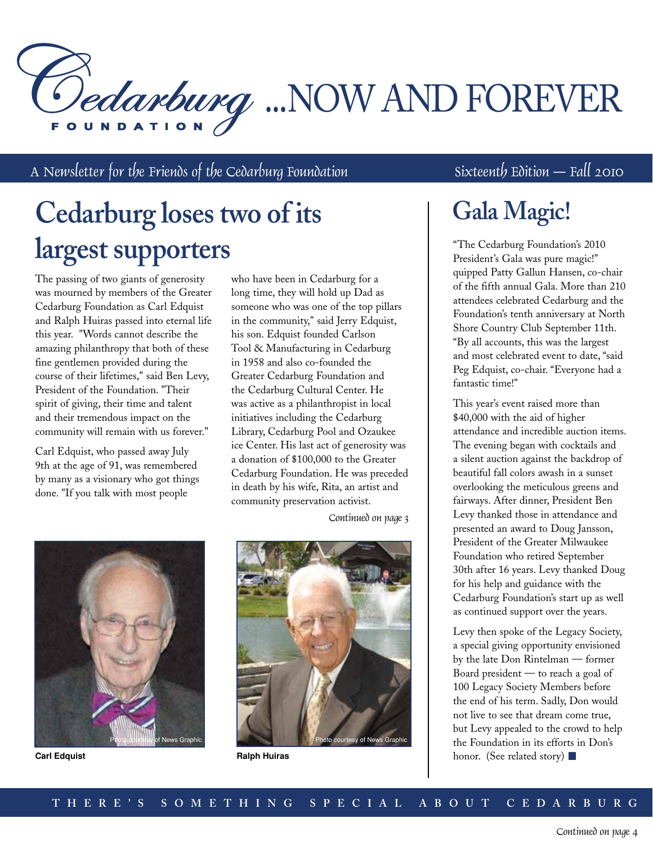Dedarburg ...NOW AND FOREVER

A Newsletter for the Friends of the Cedarburg Foundation Sixteenth Edition — Fall 2010

# **Cedarburg loses two of its largest supporters**

The passing of two giants of generosity was mourned by members of the Greater Cedarburg Foundation as Carl Edquist and Ralph Huiras passed into eternal life this year. "Words cannot describe the amazing philanthropy that both of these fine gentlemen provided during the course of their lifetimes," said Ben Levy, President of the Foundation. "Their spirit of giving, their time and talent and their tremendous impact on the community will remain with us forever."

Carl Edquist, who passed away July 9th at the age of 91, was remembered by many as a visionary who got things done. "If you talk with most people

who have been in Cedarburg for a long time, they will hold up Dad as someone who was one of the top pillars in the community," said Jerry Edquist, his son. Edquist founded Carlson Tool & Manufacturing in Cedarburg in 1958 and also co-founded the Greater Cedarburg Foundation and the Cedarburg Cultural Center. He was active as a philanthropist in local initiatives including the Cedarburg Library, Cedarburg Pool and Ozaukee ice Center. His last act of generosity was a donation of \$100,000 to the Greater Cedarburg Foundation. He was preceded in death by his wife, Rita, an artist and community preservation activist.



**Carl Edquist**

Continued on page 3



**Ralph Huiras**

## **Gala Magic!**

"The Cedarburg Foundation's 2010 President's Gala was pure magic!" quipped Patty Gallun Hansen, co-chair of the fifth annual Gala. More than 210 attendees celebrated Cedarburg and the Foundation's tenth anniversary at North Shore Country Club September 11th. "By all accounts, this was the largest and most celebrated event to date, "said Peg Edquist, co-chair. "Everyone had a fantastic time!"

This year's event raised more than \$40,000 with the aid of higher attendance and incredible auction items. The evening began with cocktails and a silent auction against the backdrop of beautiful fall colors awash in a sunset overlooking the meticulous greens and fairways. After dinner, President Ben Levy thanked those in attendance and presented an award to Doug Jansson, President of the Greater Milwaukee Foundation who retired September 30th after 16 years. Levy thanked Doug for his help and guidance with the Cedarburg Foundation's start up as well as continued support over the years.

Levy then spoke of the Legacy Society, a special giving opportunity envisioned by the late Don Rintelman — former Board president — to reach a goal of 100 Legacy Society Members before the end of his term. Sadly, Don would not live to see that dream come true, but Levy appealed to the crowd to help the Foundation in its efforts in Don's honor. (See related story)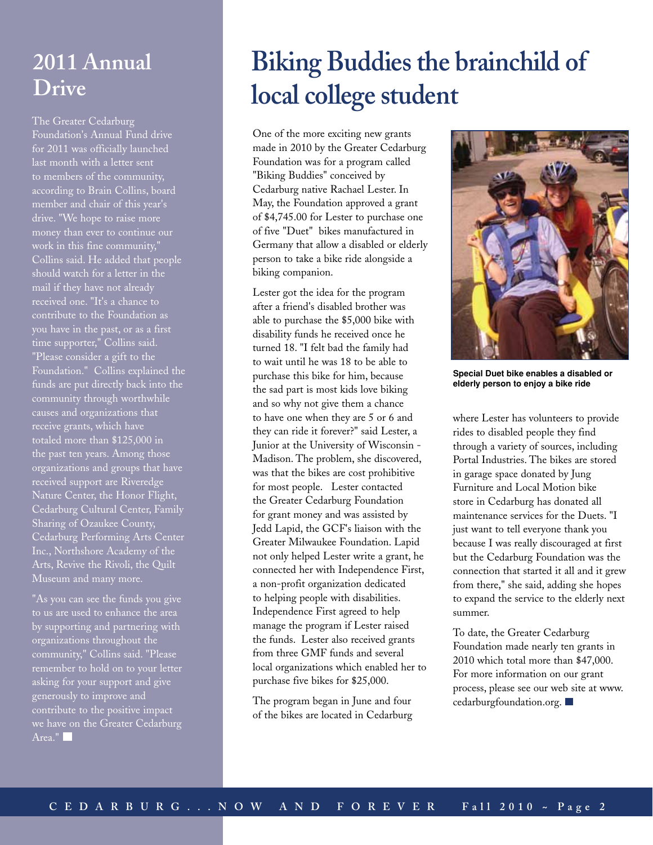### **2011 Annual Drive**

The Greater Cedarburg Foundation's Annual Fund drive for 2011 was officially launched last month with a letter sent to members of the community, according to Brain Collins, board drive. "We hope to raise more work in this fine community," Collins said. He added that people should watch for a letter in the received one. "It's a chance to contribute to the Foundation as you have in the past, or as a first time supporter," Collins said. "Please consider a gift to the Foundation." Collins explained the funds are put directly back into the community through worthwhile causes and organizations that receive grants, which have totaled more than \$125,000 in the past ten years. Among those organizations and groups that have received support are Riveredge Nature Center, the Honor Flight, Cedarburg Cultural Center, Family Sharing of Ozaukee County, Cedarburg Performing Arts Center Inc., Northshore Academy of the Arts, Revive the Rivoli, the Quilt Museum and many more.

"As you can see the funds you give to us are used to enhance the area by supporting and partnering with organizations throughout the community," Collins said. "Please asking for your support and give generously to improve and contribute to the positive impact we have on the Greater Cedarburg Area."

# **Biking Buddies the brainchild of local college student**

One of the more exciting new grants made in 2010 by the Greater Cedarburg Foundation was for a program called "Biking Buddies" conceived by Cedarburg native Rachael Lester. In May, the Foundation approved a grant of \$4,745.00 for Lester to purchase one of five "Duet" bikes manufactured in Germany that allow a disabled or elderly person to take a bike ride alongside a biking companion.

Lester got the idea for the program after a friend's disabled brother was able to purchase the \$5,000 bike with disability funds he received once he turned 18. "I felt bad the family had to wait until he was 18 to be able to purchase this bike for him, because the sad part is most kids love biking and so why not give them a chance to have one when they are 5 or 6 and they can ride it forever?" said Lester, a Junior at the University of Wisconsin - Madison. The problem, she discovered, was that the bikes are cost prohibitive for most people. Lester contacted the Greater Cedarburg Foundation for grant money and was assisted by Jedd Lapid, the GCF's liaison with the Greater Milwaukee Foundation. Lapid not only helped Lester write a grant, he connected her with Independence First, a non-profit organization dedicated to helping people with disabilities. Independence First agreed to help manage the program if Lester raised the funds. Lester also received grants from three GMF funds and several local organizations which enabled her to purchase five bikes for \$25,000.

The program began in June and four of the bikes are located in Cedarburg



**Special Duet bike enables a disabled or elderly person to enjoy a bike ride** 

where Lester has volunteers to provide rides to disabled people they find through a variety of sources, including Portal Industries. The bikes are stored in garage space donated by Jung Furniture and Local Motion bike store in Cedarburg has donated all maintenance services for the Duets. "I just want to tell everyone thank you because I was really discouraged at first but the Cedarburg Foundation was the connection that started it all and it grew from there," she said, adding she hopes to expand the service to the elderly next summer.

To date, the Greater Cedarburg Foundation made nearly ten grants in 2010 which total more than \$47,000. For more information on our grant process, please see our web site at www. cedarburgfoundation.org.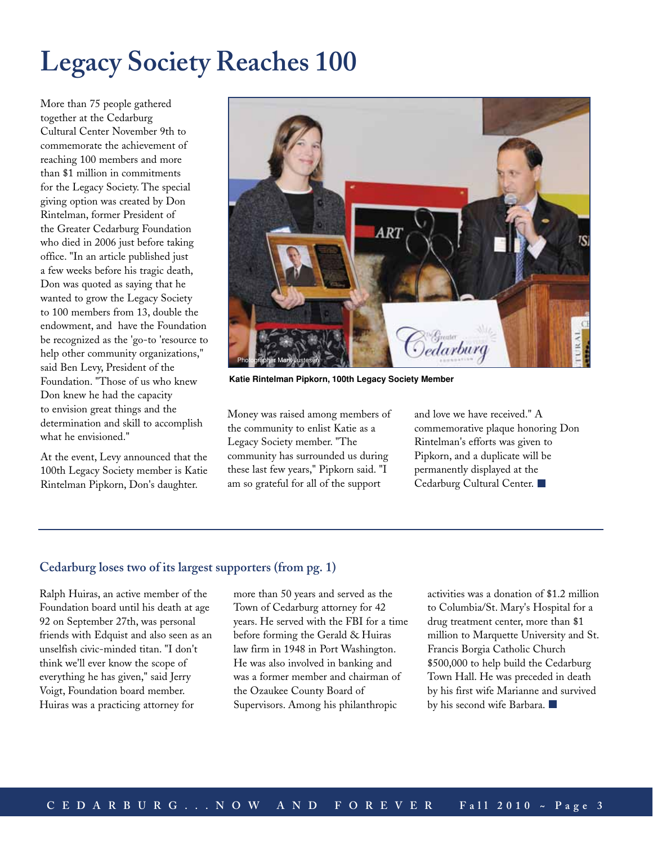# **Legacy Society Reaches 100**

More than 75 people gathered together at the Cedarburg Cultural Center November 9th to commemorate the achievement of reaching 100 members and more than \$1 million in commitments for the Legacy Society. The special giving option was created by Don Rintelman, former President of the Greater Cedarburg Foundation who died in 2006 just before taking office. "In an article published just a few weeks before his tragic death, Don was quoted as saying that he wanted to grow the Legacy Society to 100 members from 13, double the endowment, and have the Foundation be recognized as the 'go-to 'resource to help other community organizations," said Ben Levy, President of the Foundation. "Those of us who knew Don knew he had the capacity to envision great things and the determination and skill to accomplish what he envisioned."

At the event, Levy announced that the 100th Legacy Society member is Katie Rintelman Pipkorn, Don's daughter.



**Katie Rintelman Pipkorn, 100th Legacy Society Member**

Money was raised among members of the community to enlist Katie as a Legacy Society member. "The community has surrounded us during these last few years," Pipkorn said. "I am so grateful for all of the support

and love we have received." A commemorative plaque honoring Don Rintelman's efforts was given to Pipkorn, and a duplicate will be permanently displayed at the Cedarburg Cultural Center. ■

### **Cedarburg loses two of its largest supporters (from pg. 1)**

Ralph Huiras, an active member of the Foundation board until his death at age 92 on September 27th, was personal friends with Edquist and also seen as an unselfish civic-minded titan. "I don't think we'll ever know the scope of everything he has given," said Jerry Voigt, Foundation board member. Huiras was a practicing attorney for

more than 50 years and served as the Town of Cedarburg attorney for 42 years. He served with the FBI for a time before forming the Gerald & Huiras law firm in 1948 in Port Washington. He was also involved in banking and was a former member and chairman of the Ozaukee County Board of Supervisors. Among his philanthropic

activities was a donation of \$1.2 million to Columbia/St. Mary's Hospital for a drug treatment center, more than \$1 million to Marquette University and St. Francis Borgia Catholic Church \$500,000 to help build the Cedarburg Town Hall. He was preceded in death by his first wife Marianne and survived by his second wife Barbara.